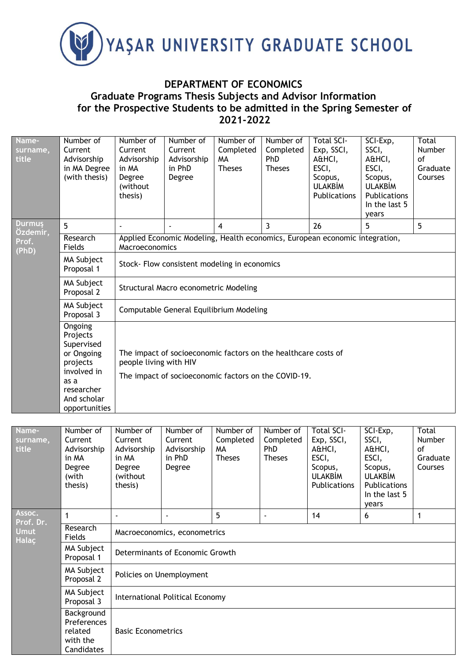

## **DEPARTMENT OF ECONOMICS Graduate Programs Thesis Subjects and Advisor Information for the Prospective Students to be admitted in the Spring Semester of 2021-2022**

| Name-<br>surname,<br>title | Number of<br>Current<br>Advisorship<br>in MA Degree<br>(with thesis)                                                             | Number of<br>Current<br>Advisorship<br>in MA<br>Degree<br>(without<br>thesis)                                                                    | Number of<br>Current<br>Advisorship<br>in PhD<br>Degree | Number of<br>Completed<br><b>MA</b><br><b>Theses</b> | Number of<br>Completed<br>PhD<br><b>Theses</b> | <b>Total SCI-</b><br>Exp, SSCI,<br>A&HCI,<br>ESCI,<br>Scopus,<br><b>ULAKBİM</b><br><b>Publications</b> | SCI-Exp,<br>SSCI,<br>A&HCI,<br>ESCI,<br>Scopus,<br><b>ULAKBİM</b><br><b>Publications</b><br>In the last 5<br>years | Total<br>Number<br>0f<br>Graduate<br>Courses |  |  |
|----------------------------|----------------------------------------------------------------------------------------------------------------------------------|--------------------------------------------------------------------------------------------------------------------------------------------------|---------------------------------------------------------|------------------------------------------------------|------------------------------------------------|--------------------------------------------------------------------------------------------------------|--------------------------------------------------------------------------------------------------------------------|----------------------------------------------|--|--|
| <b>Durmus</b><br>Özdemir,  | 5                                                                                                                                |                                                                                                                                                  |                                                         | 4                                                    | 3                                              | 26                                                                                                     | 5                                                                                                                  | 5                                            |  |  |
| Prof.<br>(PhD)             | Research<br>Fields                                                                                                               | Applied Economic Modeling, Health economics, European economic integration,<br>Macroeconomics                                                    |                                                         |                                                      |                                                |                                                                                                        |                                                                                                                    |                                              |  |  |
|                            | <b>MA Subject</b><br>Proposal 1                                                                                                  | Stock- Flow consistent modeling in economics                                                                                                     |                                                         |                                                      |                                                |                                                                                                        |                                                                                                                    |                                              |  |  |
|                            | MA Subject<br>Proposal 2                                                                                                         | Structural Macro econometric Modeling<br>Computable General Equilibrium Modeling                                                                 |                                                         |                                                      |                                                |                                                                                                        |                                                                                                                    |                                              |  |  |
|                            | MA Subject<br>Proposal 3                                                                                                         |                                                                                                                                                  |                                                         |                                                      |                                                |                                                                                                        |                                                                                                                    |                                              |  |  |
|                            | Ongoing<br>Projects<br>Supervised<br>or Ongoing<br>projects<br>involved in<br>as a<br>researcher<br>And scholar<br>opportunities | The impact of socioeconomic factors on the healthcare costs of<br>people living with HIV<br>The impact of socioeconomic factors on the COVID-19. |                                                         |                                                      |                                                |                                                                                                        |                                                                                                                    |                                              |  |  |

| Name-<br>surname,<br>title  | Number of<br>Current<br>Advisorship<br>in MA<br>Degree<br>(with<br>thesis) | Number of<br>Current<br>Advisorship<br>in MA<br>Degree<br>(without<br>thesis) | Number of<br>Current<br>Advisorship<br>in PhD<br>Degree | Number of<br>Completed<br>MA<br><b>Theses</b> | Number of<br>Completed<br><b>PhD</b><br><b>Theses</b> | <b>Total SCI-</b><br>Exp, SSCI,<br>A&HCI,<br>ESCI,<br>Scopus,<br><b>ULAKBİM</b><br>Publications | SCI-Exp,<br>SSCI,<br>A&HCI,<br>ESCI,<br>Scopus,<br><b>ULAKBİM</b><br><b>Publications</b><br>In the last 5<br>vears | Total<br><b>Number</b><br>of<br>Graduate<br>Courses |  |  |
|-----------------------------|----------------------------------------------------------------------------|-------------------------------------------------------------------------------|---------------------------------------------------------|-----------------------------------------------|-------------------------------------------------------|-------------------------------------------------------------------------------------------------|--------------------------------------------------------------------------------------------------------------------|-----------------------------------------------------|--|--|
| Assoc.<br>Prof. Dr.         | 1                                                                          |                                                                               |                                                         | 5                                             | $\blacksquare$                                        | 14                                                                                              | 6                                                                                                                  | 1                                                   |  |  |
| <b>Umut</b><br><b>Halac</b> | Research<br>Fields                                                         | Macroeconomics, econometrics                                                  |                                                         |                                               |                                                       |                                                                                                 |                                                                                                                    |                                                     |  |  |
|                             | MA Subject<br>Proposal 1                                                   |                                                                               | Determinants of Economic Growth                         |                                               |                                                       |                                                                                                 |                                                                                                                    |                                                     |  |  |
|                             | MA Subject<br>Proposal 2                                                   | Policies on Unemployment                                                      |                                                         |                                               |                                                       |                                                                                                 |                                                                                                                    |                                                     |  |  |
|                             | MA Subject<br>Proposal 3                                                   | International Political Economy                                               |                                                         |                                               |                                                       |                                                                                                 |                                                                                                                    |                                                     |  |  |
|                             | Background<br>Preferences<br>related<br>with the<br>Candidates             | <b>Basic Econometrics</b>                                                     |                                                         |                                               |                                                       |                                                                                                 |                                                                                                                    |                                                     |  |  |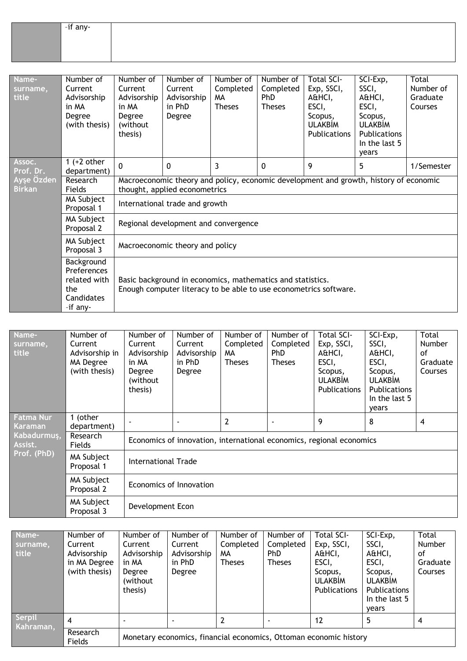| -if any- |  |  |  |  |
|----------|--|--|--|--|
|          |  |  |  |  |
|          |  |  |  |  |

| Name-<br>surname,<br>title  | Number of<br>Current<br>Advisorship<br>in MA<br>Degree<br>(with thesis)    | Number of<br>Current<br>Advisorship<br>in MA<br>Degree<br>(without<br>thesis)                                                   | Number of<br>Current<br>Advisorship<br>in PhD<br>Degree | Number of<br>Completed<br>МA<br><b>Theses</b> | Number of<br>Completed<br><b>PhD</b><br><b>Theses</b> | <b>Total SCI-</b><br>Exp, SSCI,<br>A&HCI,<br>ESCI,<br>Scopus,<br><b>ULAKBİM</b><br>Publications | SCI-Exp,<br>SSCI,<br>A&HCI,<br>ESCI,<br>Scopus,<br><b>ULAKBİM</b><br><b>Publications</b><br>In the last 5<br>years | Total<br>Number of<br>Graduate<br>Courses |  |  |
|-----------------------------|----------------------------------------------------------------------------|---------------------------------------------------------------------------------------------------------------------------------|---------------------------------------------------------|-----------------------------------------------|-------------------------------------------------------|-------------------------------------------------------------------------------------------------|--------------------------------------------------------------------------------------------------------------------|-------------------------------------------|--|--|
| Assoc.<br>Prof. Dr.         | 1 $(+2$ other<br>department)                                               | $\mathbf 0$                                                                                                                     | 0                                                       | 3                                             | 0                                                     | 9                                                                                               | 5                                                                                                                  | 1/Semester                                |  |  |
| Ayşe Özden<br><b>Birkan</b> | Research<br>Fields                                                         | Macroeconomic theory and policy, economic development and growth, history of economic<br>thought, applied econometrics          |                                                         |                                               |                                                       |                                                                                                 |                                                                                                                    |                                           |  |  |
|                             | MA Subject<br>Proposal 1                                                   | International trade and growth                                                                                                  |                                                         |                                               |                                                       |                                                                                                 |                                                                                                                    |                                           |  |  |
|                             | MA Subject<br>Proposal 2                                                   | Regional development and convergence                                                                                            |                                                         |                                               |                                                       |                                                                                                 |                                                                                                                    |                                           |  |  |
|                             | MA Subject<br>Macroeconomic theory and policy<br>Proposal 3                |                                                                                                                                 |                                                         |                                               |                                                       |                                                                                                 |                                                                                                                    |                                           |  |  |
|                             | Background<br>Preferences<br>related with<br>the<br>Candidates<br>-if any- | Basic background in economics, mathematics and statistics.<br>Enough computer literacy to be able to use econometrics software. |                                                         |                                               |                                                       |                                                                                                 |                                                                                                                    |                                           |  |  |

| Name-<br>surname,<br>title | Number of<br>Current<br>Advisorship in<br>MA Degree<br>(with thesis) | Number of<br>Current<br>Advisorship<br>in MA<br>Degree<br>(without<br>thesis) | Number of<br>Current<br>Advisorship<br>in PhD<br>Degree | Number of<br>Completed<br>MA.<br><b>Theses</b> | Number of<br>Completed<br>PhD<br><b>Theses</b> | <b>Total SCI-</b><br>Exp, SSCI,<br>A&HCI,<br>ESCI,<br>Scopus,<br><b>ULAKBIM</b><br><b>Publications</b> | SCI-Exp,<br>SSCI,<br>A&HCI,<br>ESCI,<br>Scopus,<br><b>ULAKBİM</b><br>Publications<br>In the last 5<br>years | Total<br><b>Number</b><br>of<br>Graduate<br>Courses |  |
|----------------------------|----------------------------------------------------------------------|-------------------------------------------------------------------------------|---------------------------------------------------------|------------------------------------------------|------------------------------------------------|--------------------------------------------------------------------------------------------------------|-------------------------------------------------------------------------------------------------------------|-----------------------------------------------------|--|
| Fatma Nur<br>Karaman       | (other<br>department)                                                |                                                                               |                                                         | 2                                              |                                                | 9                                                                                                      | 8                                                                                                           | 4                                                   |  |
| Kabadurmuş,<br>Assist.     | Research<br>Fields                                                   | Economics of innovation, international economics, regional economics          |                                                         |                                                |                                                |                                                                                                        |                                                                                                             |                                                     |  |
| Prof. (PhD)                | MA Subject<br>Proposal 1                                             | <b>International Trade</b>                                                    |                                                         |                                                |                                                |                                                                                                        |                                                                                                             |                                                     |  |
|                            | MA Subject<br>Proposal 2                                             | Economics of Innovation                                                       |                                                         |                                                |                                                |                                                                                                        |                                                                                                             |                                                     |  |
|                            | MA Subject<br>Proposal 3                                             | Development Econ                                                              |                                                         |                                                |                                                |                                                                                                        |                                                                                                             |                                                     |  |

| Name-<br>surname,<br>title | Number of<br>Current<br>Advisorship<br>in MA Degree<br>(with thesis) | Number of<br>Current<br>Advisorship<br>in MA<br>Degree<br>(without<br>thesis) | Number of<br>Current<br>Advisorship<br>in PhD<br>Degree | Number of<br>Completed<br>МA<br><b>Theses</b> | Number of<br>Completed<br><b>PhD</b><br><b>Theses</b> | Total SCI-<br>Exp, SSCI,<br>A&HCI,<br>ESCI,<br>Scopus,<br><b>ULAKBIM</b><br>Publications | SCI-Exp,<br>SSCI,<br>A&HCI,<br>ESCI,<br>Scopus,<br><b>ULAKBIM</b><br><b>Publications</b><br>In the last 5<br>vears | Total<br>Number<br>of<br>Graduate<br>Courses |  |
|----------------------------|----------------------------------------------------------------------|-------------------------------------------------------------------------------|---------------------------------------------------------|-----------------------------------------------|-------------------------------------------------------|------------------------------------------------------------------------------------------|--------------------------------------------------------------------------------------------------------------------|----------------------------------------------|--|
| Serpil<br>Kahraman,        | 4                                                                    |                                                                               |                                                         |                                               |                                                       | 12                                                                                       | 5                                                                                                                  | -4                                           |  |
|                            | Research<br>Fields                                                   | Monetary economics, financial economics, Ottoman economic history             |                                                         |                                               |                                                       |                                                                                          |                                                                                                                    |                                              |  |